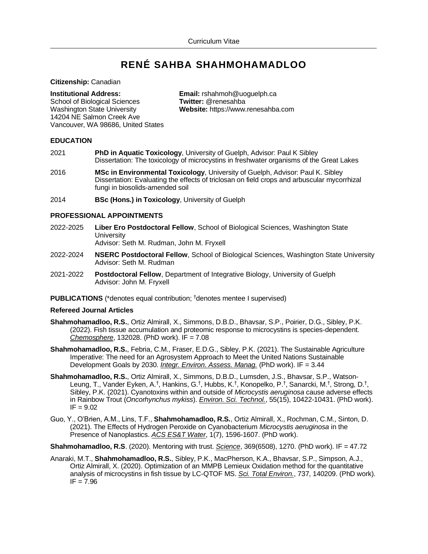# **RENÉ SAHBA SHAHMOHAMADLOO**

**Citizenship:** Canadian

**School of Biological Sciences** 14204 NE Salmon Creek Ave Vancouver, WA 98686, United States

**Institutional Address: <br>
<b>Email:** rshahmoh@uoguelph.ca<br> **School of Biological Sciences Twitter:** @renesahba Washington State University **Website:** https://www.renesahba.com

# **EDUCATION**

- 2021 **PhD in Aquatic Toxicology**, University of Guelph, Advisor: Paul K Sibley Dissertation: The toxicology of microcystins in freshwater organisms of the Great Lakes
- 2016 **MSc in Environmental Toxicology**, University of Guelph, Advisor: Paul K. Sibley Dissertation: Evaluating the effects of triclosan on field crops and arbuscular mycorrhizal fungi in biosolids-amended soil
- 2014 **BSc (Hons.) in Toxicology**, University of Guelph

# **PROFESSIONAL APPOINTMENTS**

- 2022-2025 **Liber Ero Postdoctoral Fellow**, School of Biological Sciences, Washington State **University** Advisor: Seth M. Rudman, John M. Fryxell
- 2022-2024 **NSERC Postdoctoral Fellow**, School of Biological Sciences, Washington State University Advisor: Seth M. Rudman
- 2021-2022 **Postdoctoral Fellow**, Department of Integrative Biology, University of Guelph Advisor: John M. Fryxell
- **PUBLICATIONS** (\*denotes equal contribution; <sup>†</sup>denotes mentee I supervised)

# **Refereed Journal Articles**

- **Shahmohamadloo, R.S.**, Ortiz Almirall, X., Simmons, D.B.D., Bhavsar, S.P., Poirier, D.G., Sibley, P.K. (2022). Fish tissue accumulation and proteomic response to microcystins is species-dependent. *[Chemosphere](https://doi.org/10.1016/j.chemosphere.2021.132028)*, 132028. (PhD work). IF = 7.08
- **Shahmohamadloo, R.S.**, Febria, C.M., Fraser, E.D.G., Sibley, P.K. (2021). The Sustainable Agriculture Imperative: The need for an Agrosystem Approach to Meet the United Nations Sustainable Development Goals by 2030. *[Integr. Environ. Assess. Manag.](https://doi.org/10.1002/ieam.4558)* (PhD work). IF = 3.44
- **Shahmohamadloo, R.S.**, Ortiz Almirall, X., Simmons, D.B.D., Lumsden, J.S., Bhavsar, S.P., Watson-Leung, T., Vander Eyken, A.<sup>†</sup>, Hankins, G.<sup>†</sup>, Hubbs, K.<sup>†</sup>, Konopelko, P.<sup>†</sup>, Sanarcki, M.<sup>†</sup>, Strong, D.<sup>†</sup>, Sibley, P.K. (2021). Cyanotoxins within and outside of *Microcystis aeruginosa* cause adverse effects in Rainbow Trout (*Oncorhynchus mykiss*). *[Environ. Sci. Technol.](https://doi.org/10.1021/acs.est.1c01501)*, 55(15), 10422-10431. (PhD work).  $IF = 9.02$
- Guo, Y., O'Brien, A.M., Lins, T.F., **Shahmohamadloo, R.S.**, Ortiz Almirall, X., Rochman, C.M., Sinton, D. (2021). The Effects of Hydrogen Peroxide on Cyanobacterium *Microcystis aeruginosa* in the Presence of Nanoplastics. *[ACS ES&T Water](https://doi.org/10.1021/acsestwater.1c00090)*, 1(7), 1596-1607. (PhD work).

**Shahmohamadloo, R.S**. (2020). Mentoring with trust. *[Science](http://doi.org/10.1126/science.369.6508.1270)*, 369(6508), 1270. (PhD work). IF = 47.72

Anaraki, M.T., **Shahmohamadloo, R.S.**, Sibley, P.K., MacPherson, K.A., Bhavsar, S.P., Simpson, A.J., Ortiz Almirall, X. (2020). Optimization of an MMPB Lemieux Oxidation method for the quantitative analysis of microcystins in fish tissue by LC-QTOF MS. *[Sci. Total Environ.](http://doi.org/10.1016/j.scitotenv.2020.140209)*, 737, 140209. (PhD work).  $IF = 7.96$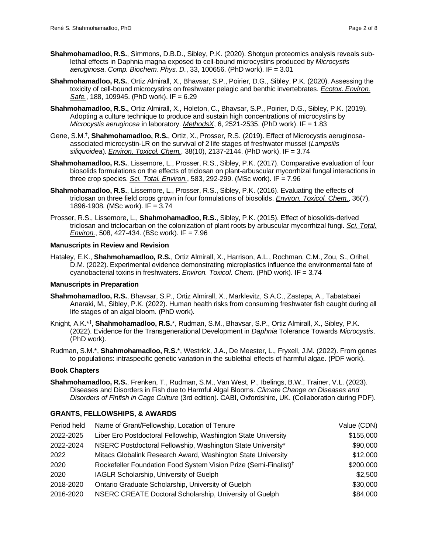- **Shahmohamadloo, R.S.**, Simmons, D.B.D., Sibley, P.K. (2020). Shotgun proteomics analysis reveals sublethal effects in Daphnia magna exposed to cell-bound microcystins produced by *Microcystis aeruginosa*. *[Comp. Biochem. Phys. D.](http://doi.org/10.1016/j.cbd.2020.100656)*, 33, 100656. (PhD work). IF = 3.01
- **Shahmohamadloo, R.S.**, Ortiz Almirall, X., Bhavsar, S.P., Poirier, D.G., Sibley, P.K. (2020). Assessing the toxicity of cell-bound microcystins on freshwater pelagic and benthic invertebrates. *[Ecotox. Environ.](http://doi.org/10.1016/j.ecoenv.2019.109945)  [Safe.](http://doi.org/10.1016/j.ecoenv.2019.109945)*, 188, 109945. (PhD work). IF = 6.29
- **Shahmohamadloo, R.S.,** Ortiz Almirall, X., Holeton, C., Bhavsar, S.P., Poirier, D.G., Sibley, P.K. (2019). Adopting a culture technique to produce and sustain high concentrations of microcystins by *Microcystis aeruginosa* in laboratory. *[MethodsX](http://doi.org/10.1016/j.mex.2019.10.024)*, 6, 2521-2535. (PhD work). IF = 1.83
- Gene, S.M.† , **Shahmohamadloo, R.S.**, Ortiz, X., Prosser, R.S. (2019). Effect of Microcystis aeruginosaassociated microcystin-LR on the survival of 2 life stages of freshwater mussel (*Lampsilis siliquoidea*). *[Environ. Toxicol. Chem.](http://doi.org/10.1002/etc.4527)*, 38(10), 2137-2144. (PhD work). IF = 3.74
- **Shahmohamadloo, R.S.**, Lissemore, L., Prosser, R.S., Sibley, P.K. (2017). Comparative evaluation of four biosolids formulations on the effects of triclosan on plant-arbuscular mycorrhizal fungal interactions in three crop species. *[Sci. Total. Environ.](http://doi.org/10.1016/j.scitotenv.2017.01.067)*, 583, 292-299. (MSc work). IF = 7.96
- **Shahmohamadloo, R.S.**, Lissemore, L., Prosser, R.S., Sibley, P.K. (2016). Evaluating the effects of triclosan on three field crops grown in four formulations of biosolids. *[Environ. Toxicol. Chem.](http://doi.org/10.1002/etc.3712)*, 36(7), 1896-1908. (MSc work). IF = 3.74
- Prosser, R.S., Lissemore, L., **Shahmohamadloo, R.S.**, Sibley, P.K. (2015). Effect of biosolids-derived triclosan and triclocarban on the colonization of plant roots by arbuscular mycorrhizal fungi. *[Sci. Total.](http://doi.org/10.1016/j.scitotenv.2014.12.014)  [Environ.](http://doi.org/10.1016/j.scitotenv.2014.12.014)*, 508, 427-434. (BSc work). IF = 7.96

# **Manuscripts in Review and Revision**

Hataley, E.K., **Shahmohamadloo, R.S.**, Ortiz Almirall, X., Harrison, A.L., Rochman, C.M., Zou, S., Orihel, D.M. (2022). Experimental evidence demonstrating microplastics influence the environmental fate of cyanobacterial toxins in freshwaters. *Environ. Toxicol. Chem.* (PhD work). IF = 3.74

# **Manuscripts in Preparation**

- **Shahmohamadloo, R.S.**, Bhavsar, S.P., Ortiz Almirall, X., Marklevitz, S.A.C., Zastepa, A., Tabatabaei Anaraki, M., Sibley, P.K. (2022). Human health risks from consuming freshwater fish caught during all life stages of an algal bloom. (PhD work).
- Knight, A.K.\* † , **Shahmohamadloo, R.S.**\*, Rudman, S.M., Bhavsar, S.P., Ortiz Almirall, X., Sibley, P.K. (2022). Evidence for the Transgenerational Development in *Daphnia* Tolerance Towards *Microcystis*. (PhD work).
- Rudman, S.M.\*, **Shahmohamadloo, R.S.**\*, Westrick, J.A., De Meester, L., Fryxell, J.M. (2022). From genes to populations: intraspecific genetic variation in the sublethal effects of harmful algae. (PDF work).

# **Book Chapters**

**Shahmohamadloo, R.S.**, Frenken, T., Rudman, S.M., Van West, P., Ibelings, B.W., Trainer, V.L. (2023). Diseases and Disorders in Fish due to Harmful Algal Blooms. *Climate Change on Diseases and Disorders of Finfish in Cage Culture* (3rd edition). CABI, Oxfordshire, UK. (Collaboration during PDF).

# **GRANTS, FELLOWSHIPS, & AWARDS**

| Period held | Name of Grant/Fellowship, Location of Tenure                                 | Value (CDN) |
|-------------|------------------------------------------------------------------------------|-------------|
| 2022-2025   | Liber Ero Postdoctoral Fellowship, Washington State University               | \$155,000   |
| 2022-2024   | NSERC Postdoctoral Fellowship, Washington State University*                  | \$90,000    |
| 2022        | Mitacs Globalink Research Award, Washington State University                 | \$12,000    |
| 2020        | Rockefeller Foundation Food System Vision Prize (Semi-Finalist) <sup>†</sup> | \$200,000   |
| 2020        | IAGLR Scholarship, University of Guelph                                      | \$2,500     |
| 2018-2020   | Ontario Graduate Scholarship, University of Guelph                           | \$30,000    |
| 2016-2020   | NSERC CREATE Doctoral Scholarship, University of Guelph                      | \$84,000    |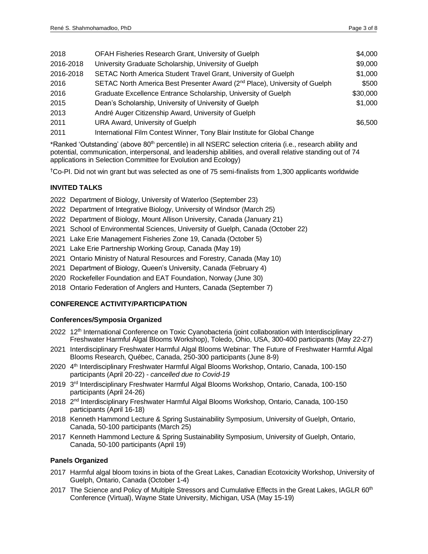| 2018      | OFAH Fisheries Research Grant, University of Guelph                                    | \$4,000  |
|-----------|----------------------------------------------------------------------------------------|----------|
| 2016-2018 | University Graduate Scholarship, University of Guelph                                  | \$9,000  |
| 2016-2018 | SETAC North America Student Travel Grant, University of Guelph                         | \$1,000  |
| 2016      | SETAC North America Best Presenter Award (2 <sup>nd</sup> Place), University of Guelph | \$500    |
| 2016      | Graduate Excellence Entrance Scholarship, University of Guelph                         | \$30,000 |
| 2015      | Dean's Scholarship, University of University of Guelph                                 | \$1,000  |
| 2013      | André Auger Citizenship Award, University of Guelph                                    |          |
| 2011      | URA Award, University of Guelph                                                        | \$6,500  |
| 2011      | International Film Contest Winner, Tony Blair Institute for Global Change              |          |

\*Ranked 'Outstanding' (above 80<sup>th</sup> percentile) in all NSERC selection criteria (i.e., research ability and potential, communication, interpersonal, and leadership abilities, and overall relative standing out of 74 applications in Selection Committee for Evolution and Ecology)

†Co-PI. Did not win grant but was selected as one of 75 semi-finalists from 1,300 applicants worldwide

# **INVITED TALKS**

- 2022 Department of Biology, University of Waterloo (September 23)
- 2022 Department of Integrative Biology, University of Windsor (March 25)
- 2022 Department of Biology, Mount Allison University, Canada (January 21)
- 2021 School of Environmental Sciences, University of Guelph, Canada (October 22)
- 2021 Lake Erie Management Fisheries Zone 19, Canada (October 5)
- 2021 Lake Erie Partnership Working Group, Canada (May 19)
- 2021 Ontario Ministry of Natural Resources and Forestry, Canada (May 10)
- 2021 Department of Biology, Queen's University, Canada (February 4)
- 2020 Rockefeller Foundation and EAT Foundation, Norway (June 30)
- 2018 Ontario Federation of Anglers and Hunters, Canada (September 7)

# **CONFERENCE ACTIVITY/PARTICIPATION**

# **Conferences/Symposia Organized**

- 2022 12<sup>th</sup> International Conference on Toxic Cyanobacteria (joint collaboration with Interdisciplinary Freshwater Harmful Algal Blooms Workshop), Toledo, Ohio, USA, 300-400 participants (May 22-27)
- 2021 Interdisciplinary Freshwater Harmful Algal Blooms Webinar: The Future of Freshwater Harmful Algal Blooms Research, Québec, Canada, 250-300 participants (June 8-9)
- 2020 4 th Interdisciplinary Freshwater Harmful Algal Blooms Workshop, Ontario, Canada, 100-150 participants (April 20-22) - *cancelled due to Covid-19*
- 2019 3<sup>rd</sup> Interdisciplinary Freshwater Harmful Algal Blooms Workshop, Ontario, Canada, 100-150 participants (April 24-26)
- 2018 2<sup>nd</sup> Interdisciplinary Freshwater Harmful Algal Blooms Workshop, Ontario, Canada, 100-150 participants (April 16-18)
- 2018 Kenneth Hammond Lecture & Spring Sustainability Symposium, University of Guelph, Ontario, Canada, 50-100 participants (March 25)
- 2017 Kenneth Hammond Lecture & Spring Sustainability Symposium, University of Guelph, Ontario, Canada, 50-100 participants (April 19)

# **Panels Organized**

- 2017 Harmful algal bloom toxins in biota of the Great Lakes, Canadian Ecotoxicity Workshop, University of Guelph, Ontario, Canada (October 1-4)
- 2017 The Science and Policy of Multiple Stressors and Cumulative Effects in the Great Lakes, IAGLR 60<sup>th</sup> Conference (Virtual), Wayne State University, Michigan, USA (May 15-19)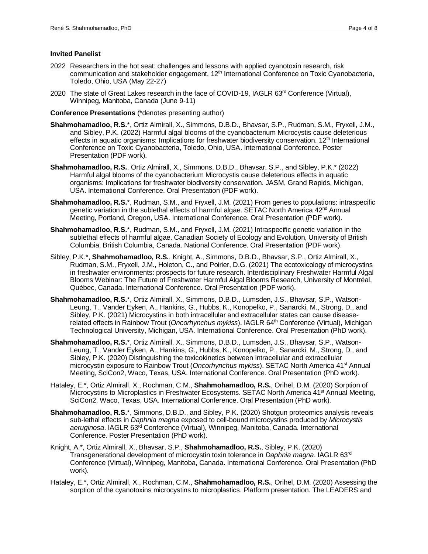#### **Invited Panelist**

- 2022 Researchers in the hot seat: challenges and lessons with applied cyanotoxin research, risk communication and stakeholder engagement, 12<sup>th</sup> International Conference on Toxic Cyanobacteria, Toledo, Ohio, USA (May 22-27)
- 2020 The state of Great Lakes research in the face of COVID-19, IAGLR 63rd Conference (Virtual), Winnipeg, Manitoba, Canada (June 9-11)

#### **Conference Presentations** (\*denotes presenting author)

- **Shahmohamadloo, R.S.**\*, Ortiz Almirall, X., Simmons, D.B.D., Bhavsar, S.P., Rudman, S.M., Fryxell, J.M., and Sibley, P.K. (2022) Harmful algal blooms of the cyanobacterium Microcystis cause deleterious effects in aquatic organisms: Implications for freshwater biodiversity conservation.  $12<sup>th</sup>$  International Conference on Toxic Cyanobacteria, Toledo, Ohio, USA. International Conference. Poster Presentation (PDF work).
- **Shahmohamadloo, R.S.**, Ortiz Almirall, X., Simmons, D.B.D., Bhavsar, S.P., and Sibley, P.K.\* (2022) Harmful algal blooms of the cyanobacterium Microcystis cause deleterious effects in aquatic organisms: Implications for freshwater biodiversity conservation. JASM, Grand Rapids, Michigan, USA. International Conference. Oral Presentation (PDF work).
- **Shahmohamadloo, R.S.**\*, Rudman, S.M., and Fryxell, J.M. (2021) From genes to populations: intraspecific genetic variation in the sublethal effects of harmful algae. SETAC North America 42<sup>nd</sup> Annual Meeting, Portland, Oregon, USA. International Conference. Oral Presentation (PDF work).
- **Shahmohamadloo, R.S.**\*, Rudman, S.M., and Fryxell, J.M. (2021) Intraspecific genetic variation in the sublethal effects of harmful algae. Canadian Society of Ecology and Evolution, University of British Columbia, British Columbia, Canada. National Conference. Oral Presentation (PDF work).
- Sibley, P.K.\*, **Shahmohamadloo, R.S.**, Knight, A., Simmons, D.B.D., Bhavsar, S.P., Ortiz Almirall, X., Rudman, S.M., Fryxell, J.M., Holeton, C., and Poirier, D.G. (2021) The ecotoxicology of microcystins in freshwater environments: prospects for future research. Interdisciplinary Freshwater Harmful Algal Blooms Webinar: The Future of Freshwater Harmful Algal Blooms Research, University of Montréal, Québec, Canada. International Conference. Oral Presentation (PDF work).
- **Shahmohamadloo, R.S.**\*, Ortiz Almirall, X., Simmons, D.B.D., Lumsden, J.S., Bhavsar, S.P., Watson-Leung, T., Vander Eyken, A., Hankins, G., Hubbs, K., Konopelko, P., Sanarcki, M., Strong, D., and Sibley, P.K. (2021) Microcystins in both intracellular and extracellular states can cause diseaserelated effects in Rainbow Trout (*Oncorhynchus mykiss*). IAGLR 64<sup>th</sup> Conference (Virtual), Michigan Technological University, Michigan, USA. International Conference. Oral Presentation (PhD work).
- **Shahmohamadloo, R.S.**\*, Ortiz Almirall, X., Simmons, D.B.D., Lumsden, J.S., Bhavsar, S.P., Watson-Leung, T., Vander Eyken, A., Hankins, G., Hubbs, K., Konopelko, P., Sanarcki, M., Strong, D., and Sibley, P.K. (2020) Distinguishing the toxicokinetics between intracellular and extracellular microcystin exposure to Rainbow Trout (*Oncorhynchus mykiss*). SETAC North America 41st Annual Meeting, SciCon2, Waco, Texas, USA. International Conference. Oral Presentation (PhD work).
- Hataley, E.\*, Ortiz Almirall, X., Rochman, C.M., **Shahmohamadloo, R.S.**, Orihel, D.M. (2020) Sorption of Microcystins to Microplastics in Freshwater Ecosystems. SETAC North America 41<sup>st</sup> Annual Meeting, SciCon2, Waco, Texas, USA. International Conference. Oral Presentation (PhD work).
- **Shahmohamadloo, R.S.**\*, Simmons, D.B.D., and Sibley, P.K. (2020) Shotgun proteomics analysis reveals sub-lethal effects in *Daphnia magna* exposed to cell-bound microcystins produced by *Microcystis aeruginosa*. IAGLR 63rd Conference (Virtual), Winnipeg, Manitoba, Canada. International Conference. Poster Presentation (PhD work).
- Knight, A.\*, Ortiz Almirall, X., Bhavsar, S.P., **Shahmohamadloo, R.S.**, Sibley, P.K. (2020) Transgenerational development of microcystin toxin tolerance in *Daphnia magna*. IAGLR 63rd Conference (Virtual), Winnipeg, Manitoba, Canada. International Conference. Oral Presentation (PhD work).
- Hataley, E.\*, Ortiz Almirall, X., Rochman, C.M., **Shahmohamadloo, R.S.**, Orihel, D.M. (2020) Assessing the sorption of the cyanotoxins microcystins to microplastics. Platform presentation. The LEADERS and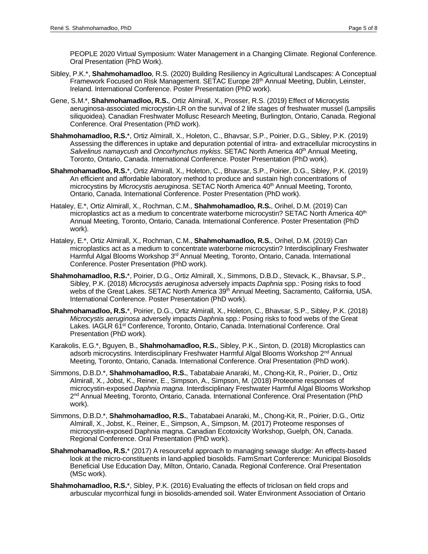PEOPLE 2020 Virtual Symposium: Water Management in a Changing Climate. Regional Conference. Oral Presentation (PhD Work).

- Sibley, P.K.\*, **Shahmohamadloo**, R.S. (2020) Building Resiliency in Agricultural Landscapes: A Conceptual Framework Focused on Risk Management. SETAC Europe 28<sup>th</sup> Annual Meeting, Dublin, Leinster, Ireland. International Conference. Poster Presentation (PhD work).
- Gene, S.M.\*, **Shahmohamadloo, R.S.**, Ortiz Almirall, X., Prosser, R.S. (2019) Effect of Microcystis aeruginosa-associated microcystin-LR on the survival of 2 life stages of freshwater mussel (Lampsilis siliquoidea). Canadian Freshwater Mollusc Research Meeting, Burlington, Ontario, Canada. Regional Conference. Oral Presentation (PhD work).
- **Shahmohamadloo, R.S.**\*, Ortiz Almirall, X., Holeton, C., Bhavsar, S.P., Poirier, D.G., Sibley, P.K. (2019) Assessing the differences in uptake and depuration potential of intra- and extracellular microcystins in *Salvelinus namaycush* and *Oncorhynchus mykiss*. SETAC North America 40th Annual Meeting, Toronto, Ontario, Canada. International Conference. Poster Presentation (PhD work).
- **Shahmohamadloo, R.S.**\*, Ortiz Almirall, X., Holeton, C., Bhavsar, S.P., Poirier, D.G., Sibley, P.K. (2019) An efficient and affordable laboratory method to produce and sustain high concentrations of microcystins by *Microcystis aeruginosa*. SETAC North America 40th Annual Meeting, Toronto, Ontario, Canada. International Conference. Poster Presentation (PhD work).
- Hataley, E.\*, Ortiz Almirall, X., Rochman, C.M., **Shahmohamadloo, R.S.**, Orihel, D.M. (2019) Can microplastics act as a medium to concentrate waterborne microcystin? SETAC North America 40<sup>th</sup> Annual Meeting, Toronto, Ontario, Canada. International Conference. Poster Presentation (PhD work).
- Hataley, E.\*, Ortiz Almirall, X., Rochman, C.M., **Shahmohamadloo, R.S.**, Orihel, D.M. (2019) Can microplastics act as a medium to concentrate waterborne microcystin? Interdisciplinary Freshwater Harmful Algal Blooms Workshop 3<sup>rd</sup> Annual Meeting, Toronto, Ontario, Canada. International Conference. Poster Presentation (PhD work).
- **Shahmohamadloo, R.S.**\*, Poirier, D.G., Ortiz Almirall, X., Simmons, D.B.D., Stevack, K., Bhavsar, S.P., Sibley, P.K. (2018) *Microcystis aeruginosa* adversely impacts *Daphnia* spp.: Posing risks to food webs of the Great Lakes. SETAC North America 39<sup>th</sup> Annual Meeting, Sacramento, California, USA. International Conference. Poster Presentation (PhD work).
- **Shahmohamadloo, R.S.**\*, Poirier, D.G., Ortiz Almirall, X., Holeton, C., Bhavsar, S.P., Sibley, P.K. (2018) *Microcystis aeruginosa* adversely impacts *Daphni*a spp.: Posing risks to food webs of the Great Lakes. IAGLR 61<sup>st</sup> Conference, Toronto, Ontario, Canada. International Conference. Oral Presentation (PhD work).
- Karakolis, E.G.\*, Bguyen, B., **Shahmohamadloo, R.S.**, Sibley, P.K., Sinton, D. (2018) Microplastics can adsorb microcystins. Interdisciplinary Freshwater Harmful Algal Blooms Workshop 2<sup>nd</sup> Annual Meeting, Toronto, Ontario, Canada. International Conference. Oral Presentation (PhD work).
- Simmons, D.B.D.\*, **Shahmohamadloo, R.S.**, Tabatabaie Anaraki, M., Chong-Kit, R., Poirier, D., Ortiz Almirall, X., Jobst, K., Reiner, E., Simpson, A., Simpson, M. (2018) Proteome responses of microcystin-exposed *Daphnia magna*. Interdisciplinary Freshwater Harmful Algal Blooms Workshop 2<sup>nd</sup> Annual Meeting, Toronto, Ontario, Canada. International Conference. Oral Presentation (PhD work).
- Simmons, D.B.D.\*, **Shahmohamadloo, R.S.**, Tabatabaei Anaraki, M., Chong-Kit, R., Poirier, D.G., Ortiz Almirall, X., Jobst, K., Reiner, E., Simpson, A., Simpson, M. (2017) Proteome responses of microcystin-exposed Daphnia magna. Canadian Ecotoxicity Workshop, Guelph, ON, Canada. Regional Conference. Oral Presentation (PhD work).
- **Shahmohamadloo, R.S.**\* (2017) A resourceful approach to managing sewage sludge: An effects-based look at the micro-constituents in land-applied biosolids. FarmSmart Conference: Municipal Biosolids Beneficial Use Education Day, Milton, Ontario, Canada. Regional Conference. Oral Presentation (MSc work).
- **Shahmohamadloo, R.S.**\*, Sibley, P.K. (2016) Evaluating the effects of triclosan on field crops and arbuscular mycorrhizal fungi in biosolids-amended soil. Water Environment Association of Ontario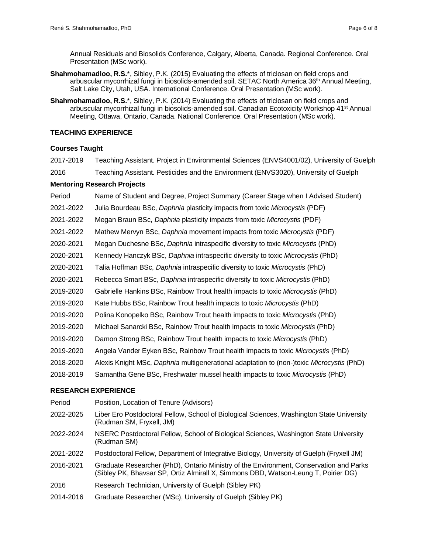Annual Residuals and Biosolids Conference, Calgary, Alberta, Canada. Regional Conference. Oral Presentation (MSc work).

- **Shahmohamadloo, R.S.**\*, Sibley, P.K. (2015) Evaluating the effects of triclosan on field crops and arbuscular mycorrhizal fungi in biosolids-amended soil. SETAC North America 36<sup>th</sup> Annual Meeting, Salt Lake City, Utah, USA. International Conference. Oral Presentation (MSc work).
- **Shahmohamadloo, R.S.**\*, Sibley, P.K. (2014) Evaluating the effects of triclosan on field crops and arbuscular mycorrhizal fungi in biosolids-amended soil. Canadian Ecotoxicity Workshop 41<sup>st</sup> Annual Meeting, Ottawa, Ontario, Canada. National Conference. Oral Presentation (MSc work).

# **TEACHING EXPERIENCE**

# **Courses Taught**

2017-2019 Teaching Assistant. Project in Environmental Sciences (ENVS4001/02), University of Guelph

2016 Teaching Assistant. Pesticides and the Environment (ENVS3020), University of Guelph

# **Mentoring Research Projects**

- Period Name of Student and Degree, Project Summary (Career Stage when I Advised Student)
- 2021-2022 Julia Bourdeau BSc, *Daphnia* plasticity impacts from toxic *Microcystis* (PDF)
- 2021-2022 Megan Braun BSc, *Daphnia* plasticity impacts from toxic *Microcystis* (PDF)
- 2021-2022 Mathew Mervyn BSc, *Daphnia* movement impacts from toxic *Microcystis* (PDF)
- 2020-2021 Megan Duchesne BSc, *Daphnia* intraspecific diversity to toxic *Microcystis* (PhD)
- 2020-2021 Kennedy Hanczyk BSc, *Daphnia* intraspecific diversity to toxic *Microcystis* (PhD)
- 2020-2021 Talia Hoffman BSc, *Daphnia* intraspecific diversity to toxic *Microcystis* (PhD)
- 2020-2021 Rebecca Smart BSc, *Daphnia* intraspecific diversity to toxic *Microcystis* (PhD)
- 2019-2020 Gabrielle Hankins BSc, Rainbow Trout health impacts to toxic *Microcystis* (PhD)
- 2019-2020 Kate Hubbs BSc, Rainbow Trout health impacts to toxic *Microcystis* (PhD)
- 2019-2020 Polina Konopelko BSc, Rainbow Trout health impacts to toxic *Microcystis* (PhD)
- 2019-2020 Michael Sanarcki BSc, Rainbow Trout health impacts to toxic *Microcystis* (PhD)
- 2019-2020 Damon Strong BSc, Rainbow Trout health impacts to toxic *Microcystis* (PhD)
- 2019-2020 Angela Vander Eyken BSc, Rainbow Trout health impacts to toxic *Microcystis* (PhD)
- 2018-2020 Alexis Knight MSc, *Daphnia* multigenerational adaptation to (non-)toxic *Microcystis* (PhD)
- 2018-2019 Samantha Gene BSc, Freshwater mussel health impacts to toxic *Microcystis* (PhD)

# **RESEARCH EXPERIENCE**

Period Position, Location of Tenure (Advisors) 2022-2025 Liber Ero Postdoctoral Fellow, School of Biological Sciences, Washington State University (Rudman SM, Fryxell, JM) 2022-2024 NSERC Postdoctoral Fellow, School of Biological Sciences, Washington State University (Rudman SM) 2021-2022 Postdoctoral Fellow, Department of Integrative Biology, University of Guelph (Fryxell JM) 2016-2021 Graduate Researcher (PhD), Ontario Ministry of the Environment, Conservation and Parks (Sibley PK, Bhavsar SP, Ortiz Almirall X, Simmons DBD, Watson-Leung T, Poirier DG) 2016 Research Technician, University of Guelph (Sibley PK) 2014-2016 Graduate Researcher (MSc), University of Guelph (Sibley PK)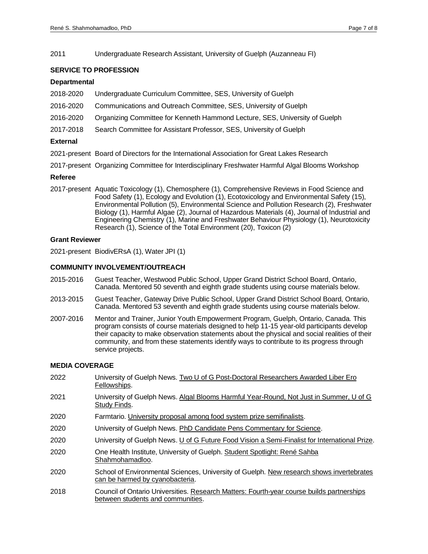2011 Undergraduate Research Assistant, University of Guelph (Auzanneau FI)

#### **SERVICE TO PROFESSION**

#### **Departmental**

- 2018-2020 Undergraduate Curriculum Committee, SES, University of Guelph
- 2016-2020 Communications and Outreach Committee, SES, University of Guelph
- 2016-2020 Organizing Committee for Kenneth Hammond Lecture, SES, University of Guelph
- 2017-2018 Search Committee for Assistant Professor, SES, University of Guelph

#### **External**

- 2021-present Board of Directors for the International Association for Great Lakes Research
- 2017-present Organizing Committee for Interdisciplinary Freshwater Harmful Algal Blooms Workshop

#### **Referee**

2017-present Aquatic Toxicology (1), Chemosphere (1), Comprehensive Reviews in Food Science and Food Safety (1), Ecology and Evolution (1), Ecotoxicology and Environmental Safety (15), Environmental Pollution (5), Environmental Science and Pollution Research (2), Freshwater Biology (1), Harmful Algae (2), Journal of Hazardous Materials (4), Journal of Industrial and Engineering Chemistry (1), Marine and Freshwater Behaviour Physiology (1), Neurotoxicity Research (1), Science of the Total Environment (20), Toxicon (2)

#### **Grant Reviewer**

2021-present BiodivERsA (1), Water JPI (1)

#### **COMMUNITY INVOLVEMENT/OUTREACH**

- 2015-2016 Guest Teacher, Westwood Public School, Upper Grand District School Board, Ontario, Canada. Mentored 50 seventh and eighth grade students using course materials below.
- 2013-2015 Guest Teacher, Gateway Drive Public School, Upper Grand District School Board, Ontario, Canada. Mentored 53 seventh and eighth grade students using course materials below.
- 2007-2016 Mentor and Trainer, Junior Youth Empowerment Program, Guelph, Ontario, Canada. This program consists of course materials designed to help 11-15 year-old participants develop their capacity to make observation statements about the physical and social realities of their community, and from these statements identify ways to contribute to its progress through service projects.

#### **MEDIA COVERAGE**

- 2022 University of Guelph News. Two U of G Post-Doctoral Researchers Awarded Liber Ero [Fellowships.](https://news.uoguelph.ca/2022/02/two-u-of-g-post-doctoral-researchers-awarded-liber-ero-fellowships/) 2021 University of Guelph News[. Algal Blooms Harmful Year-Round, Not Just in Summer, U of G](https://news.uoguelph.ca/2021/08/algal-blooms-harmful-year-round-not-just-in-summer-u-of-g-study-finds/)  [Study Finds.](https://news.uoguelph.ca/2021/08/algal-blooms-harmful-year-round-not-just-in-summer-u-of-g-study-finds/) 2020 Farmtario. [University proposal among food system prize semifinalists.](https://farmtario.com/news/university-proposal-among-food-system-prize-semifinalists/?utm_source=GFM%20Publications&utm_campaign=bd78ca1b92-Farmtario%20Newsletter%20-%20Featured%20-%202020-09-21%2006%3A00&utm_medium=email&utm_term=0_2da8244677-bd78ca1b92-89196735/) 2020 University of Guelph News[. PhD Candidate Pens Commentary for Science.](https://news.uoguelph.ca/2020/09/phd-candidate-pens-commentary-for-science/) 2020 University of Guelph News[. U of G Future Food Vision a Semi-Finalist for International Prize.](https://news.uoguelph.ca/2020/06/u-of-g-future-food-vision-a-semi-finalist-for-international-prize/) 2020 One Health Institute, University of Guelph. [Student Spotlight: René Sahba](https://onehealth.uoguelph.ca/student-spotlight/)  [Shahmohamadloo.](https://onehealth.uoguelph.ca/student-spotlight/) 2020 School of Environmental Sciences, University of Guelph. [New research shows invertebrates](https://www.uoguelph.ca/ses/news/2020/01/new-research-shows-%20invertebrates-can-be-harmed-cyanobacteria)  [can be harmed by cyanobacteria.](https://www.uoguelph.ca/ses/news/2020/01/new-research-shows-%20invertebrates-can-be-harmed-cyanobacteria)
- 2018 Council of Ontario Universities[. Research Matters: Fourth-year course builds partnerships](http://yourontarioresearch.ca/2018/01/fourth-year-course-builds-partnerships-students-communities/)  [between students and communities.](http://yourontarioresearch.ca/2018/01/fourth-year-course-builds-partnerships-students-communities/)